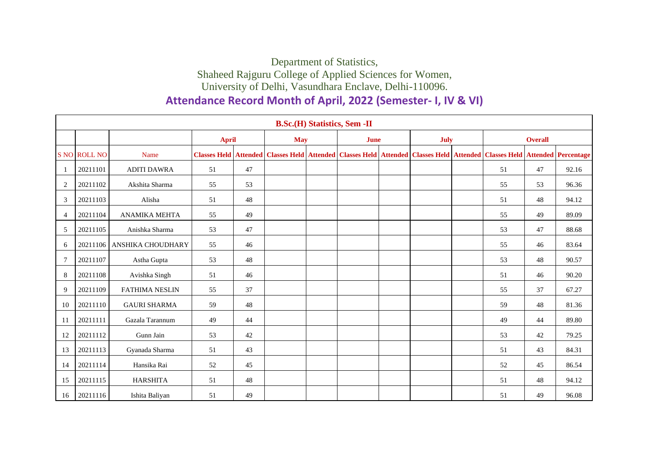## Department of Statistics, Shaheed Rajguru College of Applied Sciences for Women, University of Delhi, Vasundhara Enclave, Delhi-110096.

## **Attendance Record Month of April, 2022 (Semester- I, IV & VI)**

|                | <b>B.Sc.(H) Statistics, Sem -II</b> |                            |              |    |            |  |             |  |             |  |                                                                                                                                              |    |       |
|----------------|-------------------------------------|----------------------------|--------------|----|------------|--|-------------|--|-------------|--|----------------------------------------------------------------------------------------------------------------------------------------------|----|-------|
|                |                                     |                            | <b>April</b> |    | <b>May</b> |  | <b>June</b> |  | <b>July</b> |  | <b>Overall</b>                                                                                                                               |    |       |
|                | S NO ROLL NO                        | Name                       |              |    |            |  |             |  |             |  | Classes Held   Attended   Classes Held   Attended   Classes Held   Attended   Classes Held   Attended   Classes Held   Attended   Percentage |    |       |
| -1             | 20211101                            | <b>ADITI DAWRA</b>         | 51           | 47 |            |  |             |  |             |  | 51                                                                                                                                           | 47 | 92.16 |
| 2              | 20211102                            | Akshita Sharma             | 55           | 53 |            |  |             |  |             |  | 55                                                                                                                                           | 53 | 96.36 |
| 3              | 20211103                            | Alisha                     | 51           | 48 |            |  |             |  |             |  | 51                                                                                                                                           | 48 | 94.12 |
| $\overline{4}$ | 20211104                            | ANAMIKA MEHTA              | 55           | 49 |            |  |             |  |             |  | 55                                                                                                                                           | 49 | 89.09 |
| 5              | 20211105                            | Anishka Sharma             | 53           | 47 |            |  |             |  |             |  | 53                                                                                                                                           | 47 | 88.68 |
| 6              |                                     | 20211106 ANSHIKA CHOUDHARY | 55           | 46 |            |  |             |  |             |  | 55                                                                                                                                           | 46 | 83.64 |
| $\overline{7}$ | 20211107                            | Astha Gupta                | 53           | 48 |            |  |             |  |             |  | 53                                                                                                                                           | 48 | 90.57 |
| 8              | 20211108                            | Avishka Singh              | 51           | 46 |            |  |             |  |             |  | 51                                                                                                                                           | 46 | 90.20 |
| 9              | 20211109                            | <b>FATHIMA NESLIN</b>      | 55           | 37 |            |  |             |  |             |  | 55                                                                                                                                           | 37 | 67.27 |
| 10             | 20211110                            | <b>GAURI SHARMA</b>        | 59           | 48 |            |  |             |  |             |  | 59                                                                                                                                           | 48 | 81.36 |
| 11             | 20211111                            | Gazala Tarannum            | 49           | 44 |            |  |             |  |             |  | 49                                                                                                                                           | 44 | 89.80 |
| 12             | 20211112                            | Gunn Jain                  | 53           | 42 |            |  |             |  |             |  | 53                                                                                                                                           | 42 | 79.25 |
| 13             | 20211113                            | Gyanada Sharma             | 51           | 43 |            |  |             |  |             |  | 51                                                                                                                                           | 43 | 84.31 |
| 14             | 20211114                            | Hansika Rai                | 52           | 45 |            |  |             |  |             |  | 52                                                                                                                                           | 45 | 86.54 |
| 15             | 20211115                            | <b>HARSHITA</b>            | 51           | 48 |            |  |             |  |             |  | 51                                                                                                                                           | 48 | 94.12 |
| 16             | 20211116                            | Ishita Baliyan             | 51           | 49 |            |  |             |  |             |  | 51                                                                                                                                           | 49 | 96.08 |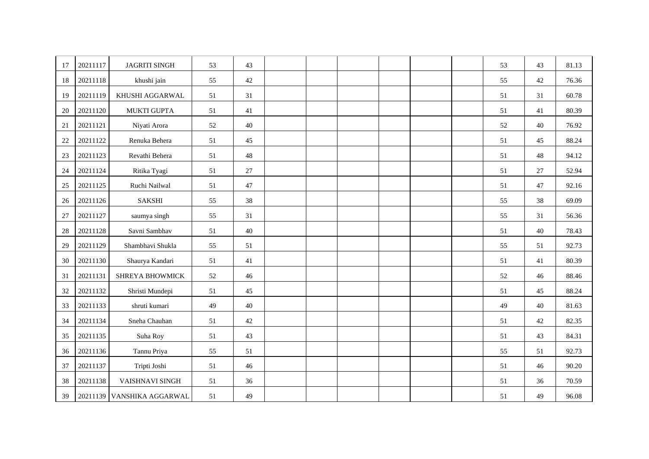| 17     | 20211117 | <b>JAGRITI SINGH</b>       | 53 | 43 |  |  |  | 53 | 43 | 81.13 |
|--------|----------|----------------------------|----|----|--|--|--|----|----|-------|
| 18     | 20211118 | khushi jain                | 55 | 42 |  |  |  | 55 | 42 | 76.36 |
| 19     | 20211119 | KHUSHI AGGARWAL            | 51 | 31 |  |  |  | 51 | 31 | 60.78 |
| 20     | 20211120 | <b>MUKTI GUPTA</b>         | 51 | 41 |  |  |  | 51 | 41 | 80.39 |
| 21     | 20211121 | Niyati Arora               | 52 | 40 |  |  |  | 52 | 40 | 76.92 |
| 22     | 20211122 | Renuka Behera              | 51 | 45 |  |  |  | 51 | 45 | 88.24 |
| 23     | 20211123 | Revathi Behera             | 51 | 48 |  |  |  | 51 | 48 | 94.12 |
| 24     | 20211124 | Ritika Tyagi               | 51 | 27 |  |  |  | 51 | 27 | 52.94 |
| $25\,$ | 20211125 | Ruchi Nailwal              | 51 | 47 |  |  |  | 51 | 47 | 92.16 |
| $26\,$ | 20211126 | <b>SAKSHI</b>              | 55 | 38 |  |  |  | 55 | 38 | 69.09 |
| 27     | 20211127 | saumya singh               | 55 | 31 |  |  |  | 55 | 31 | 56.36 |
| 28     | 20211128 | Savni Sambhav              | 51 | 40 |  |  |  | 51 | 40 | 78.43 |
| 29     | 20211129 | Shambhavi Shukla           | 55 | 51 |  |  |  | 55 | 51 | 92.73 |
| 30     | 20211130 | Shaurya Kandari            | 51 | 41 |  |  |  | 51 | 41 | 80.39 |
| 31     | 20211131 | SHREYA BHOWMICK            | 52 | 46 |  |  |  | 52 | 46 | 88.46 |
| 32     | 20211132 | Shristi Mundepi            | 51 | 45 |  |  |  | 51 | 45 | 88.24 |
| 33     | 20211133 | shruti kumari              | 49 | 40 |  |  |  | 49 | 40 | 81.63 |
| 34     | 20211134 | Sneha Chauhan              | 51 | 42 |  |  |  | 51 | 42 | 82.35 |
| 35     | 20211135 | Suha Roy                   | 51 | 43 |  |  |  | 51 | 43 | 84.31 |
| 36     | 20211136 | Tannu Priya                | 55 | 51 |  |  |  | 55 | 51 | 92.73 |
| 37     | 20211137 | Tripti Joshi               | 51 | 46 |  |  |  | 51 | 46 | 90.20 |
| 38     | 20211138 | VAISHNAVI SINGH            | 51 | 36 |  |  |  | 51 | 36 | 70.59 |
| 39     |          | 20211139 VANSHIKA AGGARWAL | 51 | 49 |  |  |  | 51 | 49 | 96.08 |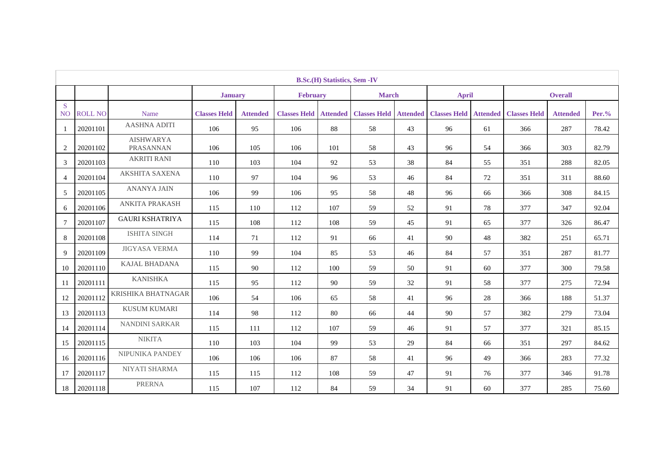|                                | <b>B.Sc.</b> (H) Statistics, Sem -IV |                                      |                     |                 |                     |                 |                     |                 |                     |                 |                     |                 |          |
|--------------------------------|--------------------------------------|--------------------------------------|---------------------|-----------------|---------------------|-----------------|---------------------|-----------------|---------------------|-----------------|---------------------|-----------------|----------|
|                                |                                      |                                      | <b>January</b>      |                 | <b>February</b>     |                 | <b>March</b>        |                 | <b>April</b>        |                 |                     | <b>Overall</b>  |          |
| <sub>S</sub><br>N <sub>O</sub> | <b>ROLL NO</b>                       | Name                                 | <b>Classes Held</b> | <b>Attended</b> | <b>Classes Held</b> | <b>Attended</b> | <b>Classes Held</b> | <b>Attended</b> | <b>Classes Held</b> | <b>Attended</b> | <b>Classes Held</b> | <b>Attended</b> | $Per.$ % |
| -1                             | 20201101                             | <b>AASHNA ADITI</b>                  | 106                 | 95              | 106                 | 88              | 58                  | 43              | 96                  | 61              | 366                 | 287             | 78.42    |
| 2                              | 20201102                             | <b>AISHWARYA</b><br><b>PRASANNAN</b> | 106                 | 105             | 106                 | 101             | 58                  | 43              | 96                  | 54              | 366                 | 303             | 82.79    |
| 3                              | 20201103                             | <b>AKRITI RANI</b>                   | 110                 | 103             | 104                 | 92              | 53                  | 38              | 84                  | 55              | 351                 | 288             | 82.05    |
| $\overline{4}$                 | 20201104                             | <b>AKSHITA SAXENA</b>                | 110                 | 97              | 104                 | 96              | 53                  | 46              | 84                  | 72              | 351                 | 311             | 88.60    |
| 5                              | 20201105                             | <b>ANANYA JAIN</b>                   | 106                 | 99              | 106                 | 95              | 58                  | 48              | 96                  | 66              | 366                 | 308             | 84.15    |
| 6                              | 20201106                             | <b>ANKITA PRAKASH</b>                | 115                 | 110             | 112                 | 107             | 59                  | 52              | 91                  | 78              | 377                 | 347             | 92.04    |
| $\tau$                         | 20201107                             | <b>GAURI KSHATRIYA</b>               | 115                 | 108             | 112                 | 108             | 59                  | 45              | 91                  | 65              | 377                 | 326             | 86.47    |
| 8                              | 20201108                             | <b>ISHITA SINGH</b>                  | 114                 | 71              | 112                 | 91              | 66                  | 41              | 90                  | 48              | 382                 | 251             | 65.71    |
| 9                              | 20201109                             | <b>JIGYASA VERMA</b>                 | 110                 | 99              | 104                 | 85              | 53                  | 46              | 84                  | 57              | 351                 | 287             | 81.77    |
| 10                             | 20201110                             | <b>KAJAL BHADANA</b>                 | 115                 | 90              | 112                 | 100             | 59                  | 50              | 91                  | 60              | 377                 | 300             | 79.58    |
| 11                             | 20201111                             | <b>KANISHKA</b>                      | 115                 | 95              | 112                 | 90              | 59                  | 32              | 91                  | 58              | 377                 | 275             | 72.94    |
| 12                             | 20201112                             | <b>KRISHIKA BHATNAGAR</b>            | 106                 | 54              | 106                 | 65              | 58                  | 41              | 96                  | 28              | 366                 | 188             | 51.37    |
| 13                             | 20201113                             | <b>KUSUM KUMARI</b>                  | 114                 | 98              | 112                 | 80              | 66                  | 44              | 90                  | 57              | 382                 | 279             | 73.04    |
| 14                             | 20201114                             | <b>NANDINI SARKAR</b>                | 115                 | 111             | 112                 | 107             | 59                  | 46              | 91                  | 57              | 377                 | 321             | 85.15    |
| 15                             | 20201115                             | <b>NIKITA</b>                        | 110                 | 103             | 104                 | 99              | 53                  | 29              | 84                  | 66              | 351                 | 297             | 84.62    |
| 16                             | 20201116                             | NIPUNIKA PANDEY                      | 106                 | 106             | 106                 | 87              | 58                  | 41              | 96                  | 49              | 366                 | 283             | 77.32    |
| 17                             | 20201117                             | NIYATI SHARMA                        | 115                 | 115             | 112                 | 108             | 59                  | 47              | 91                  | 76              | 377                 | 346             | 91.78    |
| 18                             | 20201118                             | <b>PRERNA</b>                        | 115                 | 107             | 112                 | 84              | 59                  | 34              | 91                  | 60              | 377                 | 285             | 75.60    |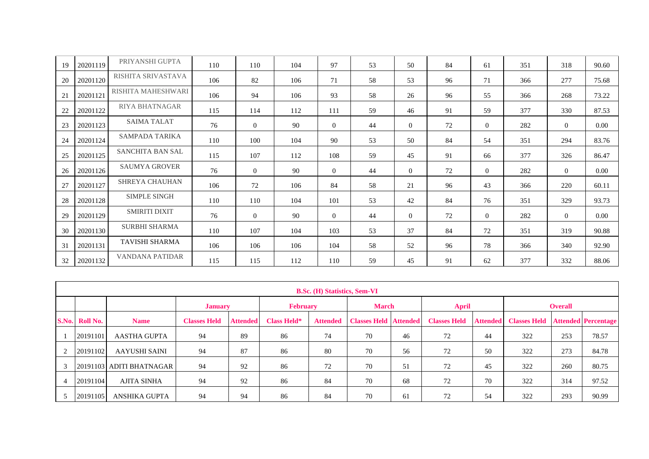| 19 | 20201119 | PRIYANSHI GUPTA         | 110 | 110            | 104 | 97             | 53 | 50             | 84 | 61             | 351 | 318            | 90.60    |
|----|----------|-------------------------|-----|----------------|-----|----------------|----|----------------|----|----------------|-----|----------------|----------|
| 20 | 20201120 | RISHITA SRIVASTAVA      | 106 | 82             | 106 | 71             | 58 | 53             | 96 | 71             | 366 | 277            | 75.68    |
| 21 | 20201121 | RISHITA MAHESHWARI      | 106 | 94             | 106 | 93             | 58 | 26             | 96 | 55             | 366 | 268            | 73.22    |
| 22 | 20201122 | <b>RIYA BHATNAGAR</b>   | 115 | 114            | 112 | 111            | 59 | 46             | 91 | 59             | 377 | 330            | 87.53    |
| 23 | 20201123 | <b>SAIMA TALAT</b>      | 76  | $\overline{0}$ | 90  | $\overline{0}$ | 44 | $\overline{0}$ | 72 | $\overline{0}$ | 282 | $\overline{0}$ | 0.00     |
| 24 | 20201124 | SAMPADA TARIKA          | 110 | 100            | 104 | 90             | 53 | 50             | 84 | 54             | 351 | 294            | 83.76    |
| 25 | 20201125 | <b>SANCHITA BAN SAL</b> | 115 | 107            | 112 | 108            | 59 | 45             | 91 | 66             | 377 | 326            | 86.47    |
| 26 | 20201126 | <b>SAUMYA GROVER</b>    | 76  | $\overline{0}$ | 90  | $\Omega$       | 44 | $\overline{0}$ | 72 | $\overline{0}$ | 282 | $\overline{0}$ | 0.00     |
| 27 | 20201127 | SHREYA CHAUHAN          | 106 | 72             | 106 | 84             | 58 | 21             | 96 | 43             | 366 | 220            | 60.11    |
| 28 | 20201128 | <b>SIMPLE SINGH</b>     | 110 | 110            | 104 | 101            | 53 | 42             | 84 | 76             | 351 | 329            | 93.73    |
| 29 | 20201129 | <b>SMIRITI DIXIT</b>    | 76  | $\overline{0}$ | 90  | $\Omega$       | 44 | $\overline{0}$ | 72 | $\overline{0}$ | 282 | $\overline{0}$ | $0.00\,$ |
| 30 | 20201130 | <b>SURBHI SHARMA</b>    | 110 | 107            | 104 | 103            | 53 | 37             | 84 | 72             | 351 | 319            | 90.88    |
| 31 | 20201131 | TAVISHI SHARMA          | 106 | 106            | 106 | 104            | 58 | 52             | 96 | 78             | 366 | 340            | 92.90    |
| 32 | 20201132 | VANDANA PATIDAR         | 115 | 115            | 112 | 110            | 59 | 45             | 91 | 62             | 377 | 332            | 88.06    |

|                | <b>B.Sc. (H) Statistics, Sem-VI</b> |                          |                     |                 |                    |                 |                              |              |                     |                 |                     |     |                            |
|----------------|-------------------------------------|--------------------------|---------------------|-----------------|--------------------|-----------------|------------------------------|--------------|---------------------|-----------------|---------------------|-----|----------------------------|
|                |                                     |                          | <b>January</b>      |                 | <b>February</b>    |                 |                              | <b>March</b> |                     | <b>April</b>    | <b>Overall</b>      |     |                            |
|                | S.No. Roll No.                      | <b>Name</b>              | <b>Classes Held</b> | <b>Attended</b> | <b>Class Held*</b> | <b>Attended</b> | <b>Classes Held Attended</b> |              | <b>Classes Held</b> | <b>Attended</b> | <b>Classes Held</b> |     | <b>Attended Percentage</b> |
|                | 20191101                            | <b>AASTHA GUPTA</b>      | 94                  | 89              | 86                 | 74              | 70                           | 46           | 72                  | 44              | 322                 | 253 | 78.57                      |
| $\overline{2}$ | 20191102                            | <b>AAYUSHI SAINI</b>     | 94                  | 87              | 86                 | 80              | 70                           | 56           | 72                  | 50              | 322                 | 273 | 84.78                      |
| 3              |                                     | 20191103 ADITI BHATNAGAR | 94                  | 92              | 86                 | 72              | 70                           | 51           | 72                  | 45              | 322                 | 260 | 80.75                      |
| $\overline{4}$ | 20191104                            | <b>AJITA SINHA</b>       | 94                  | 92              | 86                 | 84              | 70                           | 68           | 72                  | 70              | 322                 | 314 | 97.52                      |
|                | 20191105                            | ANSHIKA GUPTA            | 94                  | 94              | 86                 | 84              | 70                           | 61           | 72                  | 54              | 322                 | 293 | 90.99                      |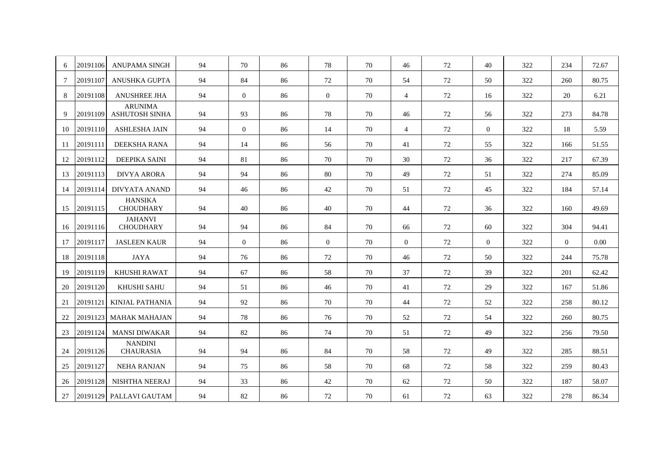| 6   | 20191106 | <b>ANUPAMA SINGH</b>                    | 94 | 70       | 86 | 78             | 70 | 46             | 72 | 40             | 322 | 234      | 72.67 |
|-----|----------|-----------------------------------------|----|----------|----|----------------|----|----------------|----|----------------|-----|----------|-------|
| 7   | 20191107 | ANUSHKA GUPTA                           | 94 | 84       | 86 | 72             | 70 | 54             | 72 | 50             | 322 | 260      | 80.75 |
| 8   | 20191108 | <b>ANUSHREE JHA</b>                     | 94 | $\Omega$ | 86 | $\overline{0}$ | 70 | $\overline{4}$ | 72 | 16             | 322 | 20       | 6.21  |
| 9   | 20191109 | <b>ARUNIMA</b><br><b>ASHUTOSH SINHA</b> | 94 | 93       | 86 | 78             | 70 | 46             | 72 | 56             | 322 | 273      | 84.78 |
| 10  | 20191110 | <b>ASHLESHA JAIN</b>                    | 94 | $\Omega$ | 86 | 14             | 70 | $\overline{4}$ | 72 | $\Omega$       | 322 | 18       | 5.59  |
| -11 | 20191111 | DEEKSHA RANA                            | 94 | 14       | 86 | 56             | 70 | 41             | 72 | 55             | 322 | 166      | 51.55 |
| 12  | 20191112 | <b>DEEPIKA SAINI</b>                    | 94 | 81       | 86 | 70             | 70 | 30             | 72 | 36             | 322 | 217      | 67.39 |
| 13  | 20191113 | <b>DIVYA ARORA</b>                      | 94 | 94       | 86 | 80             | 70 | 49             | 72 | 51             | 322 | 274      | 85.09 |
| 14  | 20191114 | <b>DIVYATA ANAND</b>                    | 94 | 46       | 86 | 42             | 70 | 51             | 72 | 45             | 322 | 184      | 57.14 |
| 15  | 20191115 | <b>HANSIKA</b><br><b>CHOUDHARY</b>      | 94 | 40       | 86 | 40             | 70 | 44             | 72 | 36             | 322 | 160      | 49.69 |
| 16  | 20191116 | <b>JAHANVI</b><br><b>CHOUDHARY</b>      | 94 | 94       | 86 | 84             | 70 | 66             | 72 | 60             | 322 | 304      | 94.41 |
| 17  | 20191117 | <b>JASLEEN KAUR</b>                     | 94 | $\Omega$ | 86 | $\overline{0}$ | 70 | $\overline{0}$ | 72 | $\overline{0}$ | 322 | $\theta$ | 0.00  |
| 18  | 20191118 | <b>JAYA</b>                             | 94 | 76       | 86 | 72             | 70 | 46             | 72 | 50             | 322 | 244      | 75.78 |
| 19  | 20191119 | <b>KHUSHI RAWAT</b>                     | 94 | 67       | 86 | 58             | 70 | 37             | 72 | 39             | 322 | 201      | 62.42 |
| 20  | 20191120 | KHUSHI SAHU                             | 94 | 51       | 86 | 46             | 70 | 41             | 72 | 29             | 322 | 167      | 51.86 |
| 21  | 20191121 | KINJAL PATHANIA                         | 94 | 92       | 86 | 70             | 70 | 44             | 72 | 52             | 322 | 258      | 80.12 |
| 22  | 20191123 | <b>MAHAK MAHAJAN</b>                    | 94 | 78       | 86 | 76             | 70 | 52             | 72 | 54             | 322 | 260      | 80.75 |
| 23  | 20191124 | <b>MANSI DIWAKAR</b>                    | 94 | 82       | 86 | 74             | 70 | 51             | 72 | 49             | 322 | 256      | 79.50 |
| 24  | 20191126 | <b>NANDINI</b><br><b>CHAURASIA</b>      | 94 | 94       | 86 | 84             | 70 | 58             | 72 | 49             | 322 | 285      | 88.51 |
| 25  | 20191127 | <b>NEHA RANJAN</b>                      | 94 | 75       | 86 | 58             | 70 | 68             | 72 | 58             | 322 | 259      | 80.43 |
| 26  | 20191128 | <b>NISHTHA NEERAJ</b>                   | 94 | 33       | 86 | 42             | 70 | 62             | 72 | 50             | 322 | 187      | 58.07 |
| 27  |          | 20191129 PALLAVI GAUTAM                 | 94 | 82       | 86 | 72             | 70 | 61             | 72 | 63             | 322 | 278      | 86.34 |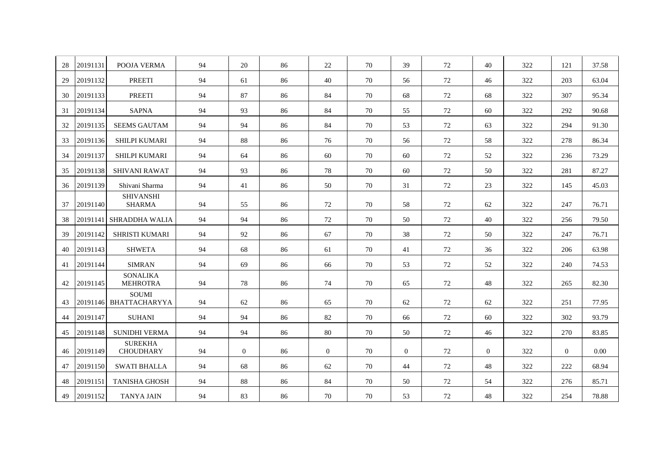| 28 | 20191131 | POOJA VERMA                          | 94 | 20       | 86 | 22             | 70 | 39       | 72     | 40       | 322 | 121      | 37.58 |
|----|----------|--------------------------------------|----|----------|----|----------------|----|----------|--------|----------|-----|----------|-------|
| 29 | 20191132 | <b>PREETI</b>                        | 94 | 61       | 86 | 40             | 70 | 56       | 72     | 46       | 322 | 203      | 63.04 |
| 30 | 20191133 | <b>PREETI</b>                        | 94 | 87       | 86 | 84             | 70 | 68       | 72     | 68       | 322 | 307      | 95.34 |
| 31 | 20191134 | <b>SAPNA</b>                         | 94 | 93       | 86 | 84             | 70 | 55       | 72     | 60       | 322 | 292      | 90.68 |
| 32 | 20191135 | <b>SEEMS GAUTAM</b>                  | 94 | 94       | 86 | 84             | 70 | 53       | 72     | 63       | 322 | 294      | 91.30 |
| 33 | 20191136 | <b>SHILPI KUMARI</b>                 | 94 | 88       | 86 | 76             | 70 | 56       | $72\,$ | 58       | 322 | 278      | 86.34 |
| 34 | 20191137 | <b>SHILPI KUMARI</b>                 | 94 | 64       | 86 | 60             | 70 | 60       | 72     | 52       | 322 | 236      | 73.29 |
| 35 | 20191138 | <b>SHIVANI RAWAT</b>                 | 94 | 93       | 86 | 78             | 70 | 60       | 72     | 50       | 322 | 281      | 87.27 |
| 36 | 20191139 | Shivani Sharma                       | 94 | 41       | 86 | 50             | 70 | 31       | 72     | 23       | 322 | 145      | 45.03 |
| 37 | 20191140 | <b>SHIVANSHI</b><br><b>SHARMA</b>    | 94 | 55       | 86 | 72             | 70 | 58       | 72     | 62       | 322 | 247      | 76.71 |
| 38 | 20191141 | SHRADDHA WALIA                       | 94 | 94       | 86 | 72             | 70 | 50       | 72     | 40       | 322 | 256      | 79.50 |
| 39 | 20191142 | <b>SHRISTI KUMARI</b>                | 94 | 92       | 86 | 67             | 70 | 38       | 72     | 50       | 322 | 247      | 76.71 |
| 40 | 20191143 | <b>SHWETA</b>                        | 94 | 68       | 86 | 61             | 70 | 41       | 72     | 36       | 322 | 206      | 63.98 |
| 41 | 20191144 | <b>SIMRAN</b>                        | 94 | 69       | 86 | 66             | 70 | 53       | 72     | 52       | 322 | 240      | 74.53 |
| 42 | 20191145 | <b>SONALIKA</b><br><b>MEHROTRA</b>   | 94 | 78       | 86 | 74             | 70 | 65       | 72     | 48       | 322 | 265      | 82.30 |
| 43 | 20191146 | <b>SOUMI</b><br><b>BHATTACHARYYA</b> | 94 | 62       | 86 | 65             | 70 | 62       | 72     | 62       | 322 | 251      | 77.95 |
| 44 | 20191147 | <b>SUHANI</b>                        | 94 | 94       | 86 | 82             | 70 | 66       | 72     | 60       | 322 | 302      | 93.79 |
| 45 | 20191148 | <b>SUNIDHI VERMA</b>                 | 94 | 94       | 86 | 80             | 70 | 50       | 72     | 46       | 322 | 270      | 83.85 |
| 46 | 20191149 | <b>SUREKHA</b><br><b>CHOUDHARY</b>   | 94 | $\Omega$ | 86 | $\overline{0}$ | 70 | $\theta$ | 72     | $\Omega$ | 322 | $\Omega$ | 0.00  |
| 47 | 20191150 | <b>SWATI BHALLA</b>                  | 94 | 68       | 86 | 62             | 70 | 44       | 72     | 48       | 322 | 222      | 68.94 |
| 48 | 20191151 | <b>TANISHA GHOSH</b>                 | 94 | 88       | 86 | 84             | 70 | 50       | 72     | 54       | 322 | 276      | 85.71 |
| 49 | 20191152 | <b>TANYA JAIN</b>                    | 94 | 83       | 86 | 70             | 70 | 53       | 72     | 48       | 322 | 254      | 78.88 |